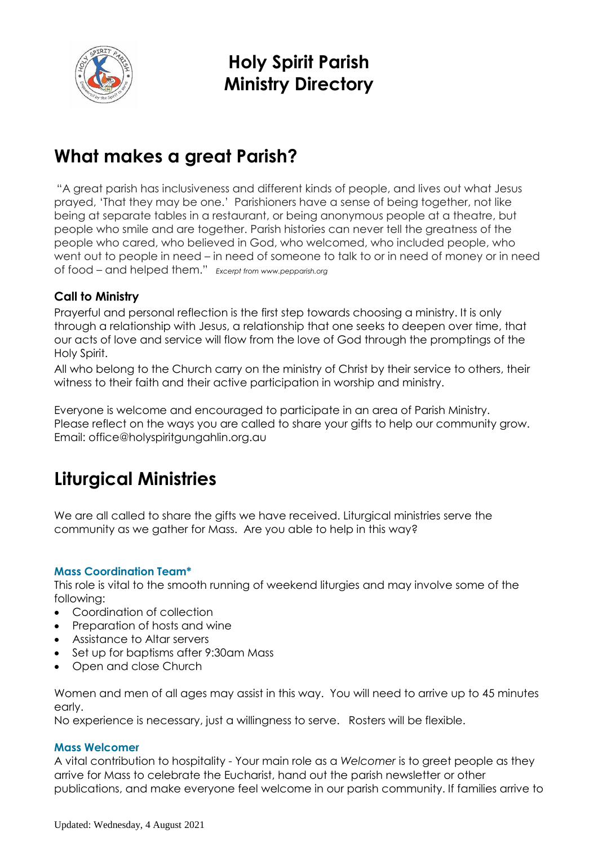

**Holy Spirit Parish Ministry Directory**

## **What makes a great Parish?**

"A great parish has inclusiveness and different kinds of people, and lives out what Jesus prayed, 'That they may be one.' Parishioners have a sense of being together, not like being at separate tables in a restaurant, or being anonymous people at a theatre, but people who smile and are together. Parish histories can never tell the greatness of the people who cared, who believed in God, who welcomed, who included people, who went out to people in need – in need of someone to talk to or in need of money or in need of food – and helped them." *Excerpt from www.pepparish.org*

## **Call to Ministry**

Prayerful and personal reflection is the first step towards choosing a ministry. It is only through a relationship with Jesus, a relationship that one seeks to deepen over time, that our acts of love and service will flow from the love of God through the promptings of the Holy Spirit.

All who belong to the Church carry on the ministry of Christ by their service to others, their witness to their faith and their active participation in worship and ministry.

Everyone is welcome and encouraged to participate in an area of Parish Ministry. Please reflect on the ways you are called to share your gifts to help our community grow. Email: office@holyspiritgungahlin.org.au

## **Liturgical Ministries**

We are all called to share the gifts we have received. Liturgical ministries serve the community as we gather for Mass. Are you able to help in this way?

## **Mass Coordination Team\***

This role is vital to the smooth running of weekend liturgies and may involve some of the following:

- Coordination of collection
- Preparation of hosts and wine
- Assistance to Altar servers
- Set up for baptisms after 9:30am Mass
- Open and close Church

Women and men of all ages may assist in this way. You will need to arrive up to 45 minutes early.

No experience is necessary, just a willingness to serve. Rosters will be flexible.

## **Mass Welcomer**

A vital contribution to hospitality - Your main role as a *Welcomer* is to greet people as they arrive for Mass to celebrate the Eucharist, hand out the parish newsletter or other publications, and make everyone feel welcome in our parish community. If families arrive to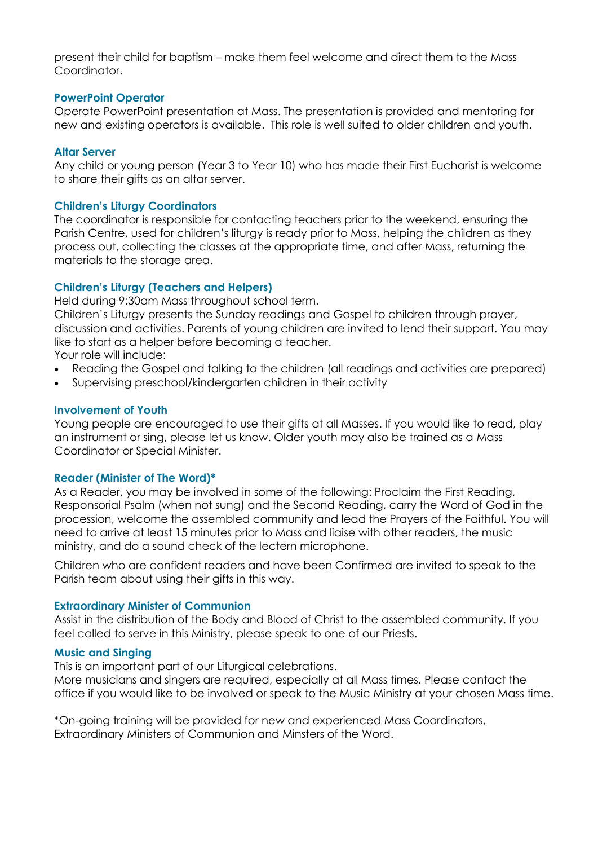present their child for baptism – make them feel welcome and direct them to the Mass Coordinator.

## **PowerPoint Operator**

Operate PowerPoint presentation at Mass. The presentation is provided and mentoring for new and existing operators is available. This role is well suited to older children and youth.

## **Altar Server**

Any child or young person (Year 3 to Year 10) who has made their First Eucharist is welcome to share their gifts as an altar server.

## **Children's Liturgy Coordinators**

The coordinator is responsible for contacting teachers prior to the weekend, ensuring the Parish Centre, used for children's liturgy is ready prior to Mass, helping the children as they process out, collecting the classes at the appropriate time, and after Mass, returning the materials to the storage area.

## **Children's Liturgy (Teachers and Helpers)**

Held during 9:30am Mass throughout school term.

Children's Liturgy presents the Sunday readings and Gospel to children through prayer, discussion and activities. Parents of young children are invited to lend their support. You may like to start as a helper before becoming a teacher.

Your role will include:

- Reading the Gospel and talking to the children (all readings and activities are prepared)
- Supervising preschool/kindergarten children in their activity

## **Involvement of Youth**

Young people are encouraged to use their gifts at all Masses. If you would like to read, play an instrument or sing, please let us know. Older youth may also be trained as a Mass Coordinator or Special Minister.

## **Reader (Minister of The Word)\***

As a Reader, you may be involved in some of the following: Proclaim the First Reading, Responsorial Psalm (when not sung) and the Second Reading, carry the Word of God in the procession, welcome the assembled community and lead the Prayers of the Faithful. You will need to arrive at least 15 minutes prior to Mass and liaise with other readers, the music ministry, and do a sound check of the lectern microphone.

Children who are confident readers and have been Confirmed are invited to speak to the Parish team about using their gifts in this way.

#### **Extraordinary Minister of Communion**

Assist in the distribution of the Body and Blood of Christ to the assembled community. If you feel called to serve in this Ministry, please speak to one of our Priests.

## **Music and Singing**

This is an important part of our Liturgical celebrations.

More musicians and singers are required, especially at all Mass times. Please contact the office if you would like to be involved or speak to the Music Ministry at your chosen Mass time.

\*On-going training will be provided for new and experienced Mass Coordinators, Extraordinary Ministers of Communion and Minsters of the Word.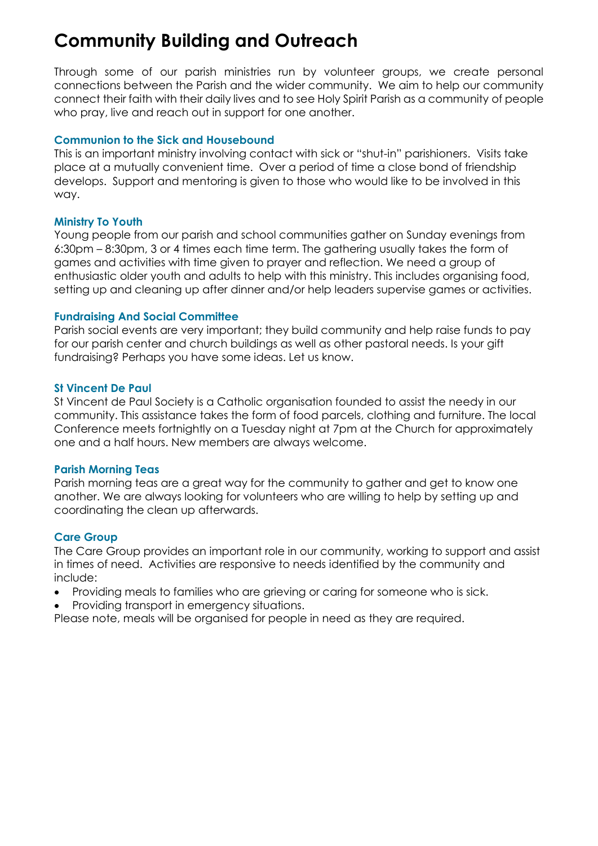# **Community Building and Outreach**

Through some of our parish ministries run by volunteer groups, we create personal connections between the Parish and the wider community. We aim to help our community connect their faith with their daily lives and to see Holy Spirit Parish as a community of people who pray, live and reach out in support for one another.

## **Communion to the Sick and Housebound**

This is an important ministry involving contact with sick or "shut-in" parishioners. Visits take place at a mutually convenient time. Over a period of time a close bond of friendship develops. Support and mentoring is given to those who would like to be involved in this way.

## **Ministry To Youth**

Young people from our parish and school communities gather on Sunday evenings from 6:30pm – 8:30pm, 3 or 4 times each time term. The gathering usually takes the form of games and activities with time given to prayer and reflection. We need a group of enthusiastic older youth and adults to help with this ministry. This includes organising food, setting up and cleaning up after dinner and/or help leaders supervise games or activities.

## **Fundraising And Social Committee**

Parish social events are very important; they build community and help raise funds to pay for our parish center and church buildings as well as other pastoral needs. Is your gift fundraising? Perhaps you have some ideas. Let us know.

## **St Vincent De Paul**

St Vincent de Paul Society is a Catholic organisation founded to assist the needy in our community. This assistance takes the form of food parcels, clothing and furniture. The local Conference meets fortnightly on a Tuesday night at 7pm at the Church for approximately one and a half hours. New members are always welcome.

## **Parish Morning Teas**

Parish morning teas are a great way for the community to gather and get to know one another. We are always looking for volunteers who are willing to help by setting up and coordinating the clean up afterwards.

## **Care Group**

The Care Group provides an important role in our community, working to support and assist in times of need. Activities are responsive to needs identified by the community and include:

- Providing meals to families who are grieving or caring for someone who is sick.
- Providing transport in emergency situations.

Please note, meals will be organised for people in need as they are required.